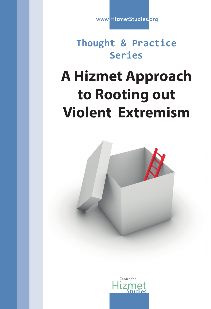www.HizmetStudies.org

## **Thought & Practice Series**

# **A Hizmet Approach to Rooting out Violent Extremism**



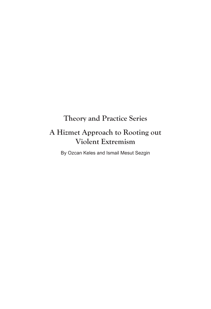## **Theory and Practice Series**

## **A Hizmet Approach to Rooting out Violent Extremism**

By Ozcan Keles and Ismail Mesut Sezgin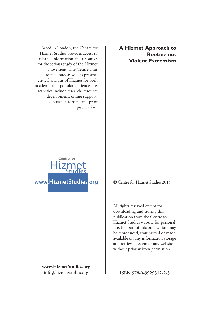Based in London, the Centre for Hizmet Studies provides access to reliable information and resources for the serious study of the Hizmet movement. The Centre aims to facilitate, as well as present, critical analysis of Hizmet for both academic and popular audiences. Its activities include research, resource development, online support, discussion forums and print publication.

**A Hizmet Approach to Rooting out Violent Extremism**



**www.HizmetStudies.org** info@hizmetstudies.org

© Centre for Hizmet Studies 2015

All rights reserved except for downloading and storing this publication from the Centre for Hizmet Studies website for personal use. No part of this publication may be reproduced, transmitted or made available on any information storage and retrieval system or any website without prior written permission.

ISBN 978-0-9929312-2-3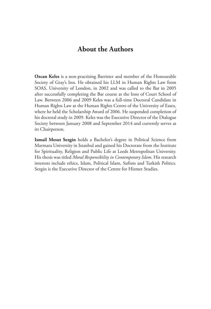#### **About the Authors**

**Ozcan Keles** is a non-practising Barrister and member of the Honourable Society of Gray's Inn. He obtained his LLM in Human Rights Law from SOAS, University of London, in 2002 and was called to the Bar in 2005 after successfully completing the Bar course at the Inns of Court School of Law. Between 2006 and 2009 Keles was a full-time Doctoral Candidate in Human Rights Law at the Human Rights Centre of the University of Essex, where he held the Scholarship Award of 2006. He suspended completion of his doctoral study in 2009. Keles was the Executive Director of the Dialogue Society between January 2008 and September 2014 and currently serves as its Chairperson.

**Ismail Mesut Sezgin** holds a Bachelor's degree in Political Science from Marmara University in Istanbul and gained his Doctorate from the Institute for Spirituality, Religion and Public Life at Leeds Metropolitan University. His thesis was titled *Moral Responsibility in Contemporary Islam*. His research interests include ethics, Islam, Political Islam, Sufism and Turkish Politics. Sezgin is the Executive Director of the Centre for Hizmet Studies.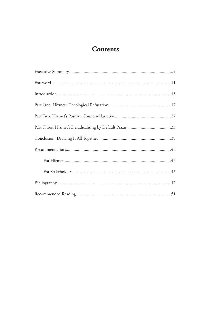## **Contents**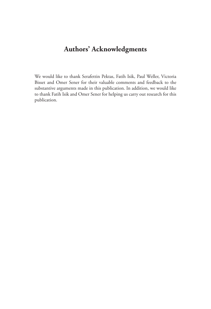## **Authors' Acknowledgments**

We would like to thank Serafettin Pektas, Fatih Isik, Paul Weller, Victoria Bisset and Omer Sener for their valuable comments and feedback to the substantive arguments made in this publication. In addition, we would like to thank Fatih Isik and Omer Sener for helping us carry out research for this publication.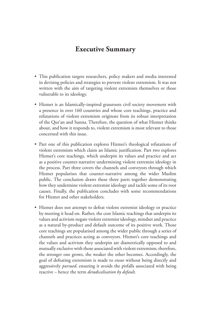#### **Executive Summary**

- This publication targets researchers, policy makers and media interested in devising policies and strategies to prevent violent extremism. It was not written with the aim of targeting violent extremists themselves or those vulnerable to its ideology.
- Hizmet is an Islamically-inspired grassroots civil society movement with a presence in over 160 countries and whose core teachings, practice and refutations of violent extremism originate from its robust interpretation of the Qur'an and Sunna. Therefore, the question of what Hizmet thinks about, and how it responds to, violent extremism is most relevant to those concerned with this issue.
- Part one of this publication explores Hizmet's theological refutations of violent extremism which claim an Islamic justification. Part two explores Hizmet's core teachings, which underpin its values and practice and act as a positive counter-narrative undermining violent extremist ideology in the process. Part three covers the channels and conveyors through which Hizmet popularises that counter-narrative among the wider Muslim public. The conclusion draws these three parts together demonstrating how they undermine violent extremist ideology and tackle some of its root causes. Finally, the publication concludes with some recommendations for Hizmet and other stakeholders.
- Hizmet does not attempt to defeat violent extremist ideology or practice by meeting it head on. Rather, the core Islamic teachings that underpin its values and activism negate violent extremist ideology, mindset and practice as a natural by-product and default outcome of its positive work. Those core teachings are popularised among the wider public through a series of channels and practices acting as conveyors. Hizmet's core teachings and the values and activism they underpin are diametrically opposed to and mutually exclusive with those associated with violent extremism; therefore, the stronger one grows, the weaker the other becomes. Accordingly, the goal of defeating extremism is made to *ensue* without being directly and aggressively *pursued*, ensuring it avoids the pitfalls associated with being reactive – hence the term *deradicalisation by default*.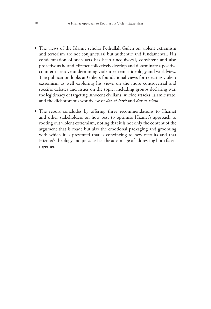- The views of the Islamic scholar Fethullah Gülen on violent extremism and terrorism are not conjunctural but authentic and fundamental. His condemnation of such acts has been unequivocal, consistent and also proactive as he and Hizmet collectively develop and disseminate a positive counter-narrative undermining violent extremist ideology and worldview. The publication looks at Gülen's foundational views for rejecting violent extremism as well exploring his views on the more controversial and specific debates and issues on the topic, including groups declaring war, the legitimacy of targeting innocent civilians, suicide attacks, Islamic state, and the dichotomous worldview of *dar al-harb* and *dar al-Islam*.
- The report concludes by offering three recommendations to Hizmet and other stakeholders on how best to optimise Hizmet's approach to rooting out violent extremism, noting that it is not only the content of the argument that is made but also the emotional packaging and grooming with which it is presented that is convincing to new recruits and that Hizmet's theology and practice has the advantage of addressing both facets together.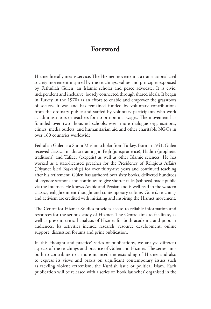#### **Foreword**

Hizmet literally means service. The Hizmet movement is a transnational civil society movement inspired by the teachings, values and principles espoused by Fethullah Gülen, an Islamic scholar and peace advocate. It is civic, independent and inclusive, loosely connected through shared ideals. It began in Turkey in the 1970s as an effort to enable and empower the grassroots of society. It was and has remained funded by voluntary contributions from the ordinary public and staffed by voluntary participants who work as administrators or teachers for no or nominal wages. The movement has founded over two thousand schools; even more dialogue organisations, clinics, media outlets, and humanitarian aid and other charitable NGOs in over 160 countries worldwide.

Fethullah Gülen is a Sunni Muslim scholar from Turkey. Born in 1941, Gülen received classical madrasa training in Fiqh (jurisprudence), Hadith (prophetic traditions) and Tafseer (exegesis) as well as other Islamic sciences. He has worked as a state-licensed preacher for the Presidency of Religious Affairs (Diyanet İşleri Başkanlığı) for over thirty-five years and continued teaching after his retirement. Gülen has authored over sixty books, delivered hundreds of keynote sermons and continues to give shorter talks (sohbets) made public via the Internet. He knows Arabic and Persian and is well read in the western classics, enlightenment thought and contemporary culture. Gülen's teachings and activism are credited with initiating and inspiring the Hizmet movement.

The Centre for Hizmet Studies provides access to reliable information and resources for the serious study of Hizmet. The Centre aims to facilitate, as well as present, critical analysis of Hizmet for both academic and popular audiences. Its activities include research, resource development, online support, discussion forums and print publication.

In this 'thought and practice' series of publications, we analyse different aspects of the teachings and practice of Gülen and Hizmet. The series aims both to contribute to a more nuanced understanding of Hizmet and also to express its views and praxis on significant contemporary issues such as tackling violent extremism, the Kurdish issue or political Islam. Each publication will be released with a series of 'book launches' organised in the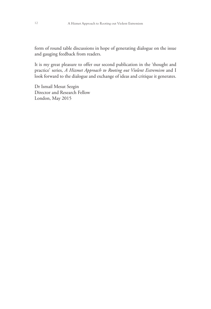form of round table discussions in hope of generating dialogue on the issue and gauging feedback from readers.

It is my great pleasure to offer our second publication in the 'thought and practice' series, *A Hizmet Approach to Rooting out Violent Extremism* and I look forward to the dialogue and exchange of ideas and critique it generates.

Dr Ismail Mesut Sezgin Director and Research Fellow London, May 2015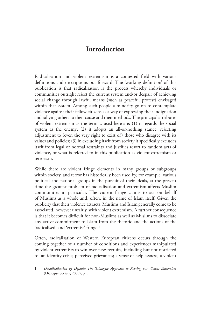### **Introduction**

Radicalisation and violent extremism is a contested field with various definitions and descriptions put forward. The 'working definition' of this publication is that radicalisation is the process whereby individuals or communities outright reject the current system and/or despair of achieving social change through lawful means (such as peaceful protest) envisaged within that system. Among such people a minority go on to contemplate violence against their fellow citizens as a way of expressing their indignation and rallying others to their cause and their methods. The principal attributes of violent extremism as the term is used here are: (1) it regards the social system as the enemy; (2) it adopts an all-or-nothing stance, rejecting adjustment to (even the very right to exist of) those who disagree with its values and policies; (3) in excluding itself from society it specifically excludes itself from legal or normal restraints and justifies resort to random acts of violence, or what is referred to in this publication as violent extremism or terrorism.

While there are violent fringe elements in many groups or subgroups within society, and terror has historically been used by, for example, various political and national groups in the pursuit of their ideals, at the present time the greatest problem of radicalisation and extremism affects Muslim communities in particular. The violent fringe claims to act on behalf of Muslims as a whole and, often, in the name of Islam itself. Given the publicity that their violence attracts, Muslims and Islam generally come to be associated, however unfairly, with violent extremism. A further consequence is that it becomes difficult for non-Muslims as well as Muslims to dissociate any active commitment to Islam from the rhetoric and the actions of the 'radicalised' and 'extremist' fringe.<sup>1</sup>

Often, radicalisation of Western European citizens occurs through the coming together of a number of conditions and experiences manipulated by violent extremists to win over new recruits, including but not restricted to: an identity crisis; perceived grievances; a sense of helplessness; a violent

<sup>1</sup> *Deradicalisation by Default: The 'Dialogue' Approach to Rooting out Violent Extremism* (Dialogue Society, 2009), p. 9.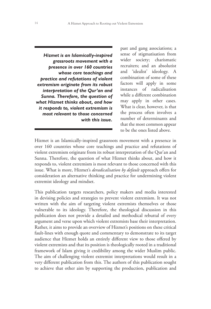*Hizmet is an Islamically-inspired grassroots movement with a presence in over 160 countries whose core teachings and practice and refutations of violent extremism originate from its robust interpretation of the Qur'an and Sunna. Therefore, the question of what Hizmet thinks about, and how it responds to, violent extremism is most relevant to those concerned with this issue.*

past and gang associations; a sense of stigmatisation from wider society; charismatic recruiters; and an absolutist and 'idealist' ideology. A combination of some of these factors will apply in some instances of radicalisation while a different combination may apply in other cases. What is clear, however, is that the process often involves a number of determinants and that the most common appear to be the ones listed above.

Hizmet is an Islamically-inspired grassroots movement with a presence in over 160 countries whose core teachings and practice and refutations of violent extremism originate from its robust interpretation of the Qur'an and Sunna. Therefore, the question of what Hizmet thinks about, and how it responds to, violent extremism is most relevant to those concerned with this issue. What is more, Hizmet's *deradicalisation by default* approach offers for consideration an alternative thinking and practice for undermining violent extremist ideology and mindset.

This publication targets researchers, policy makers and media interested in devising policies and strategies to prevent violent extremism. It was not written with the aim of targeting violent extremists themselves or those vulnerable to its ideology. Therefore, the theological discussion in this publication does not provide a detailed and methodical rebuttal of every argument and verse upon which violent extremists base their interpretation. Rather, it aims to provide an overview of Hizmet's positions on these critical fault-lines with enough quote and commentary to demonstrate to its target audience that Hizmet holds an entirely different view to those offered by violent extremists and that its position is theologically rooted in a traditional framework of Islam giving it credibility among the wider Muslim public. The aim of challenging violent extremist interpretations would result in a very different publication from this. The authors of this publication sought to achieve that other aim by supporting the production, publication and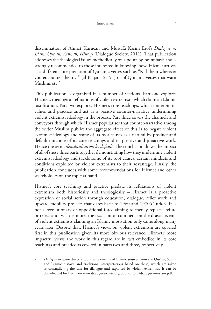dissemination of Ahmet Kurucan and Mustafa Kasim Erol's *Dialogue in Islam: Qur'an, Sunnah, History* (Dialogue Society, 2011). That publication addresses the theological issues methodically on a point-by-point basis and is strongly recommended to those interested in knowing 'how' Hizmet arrives at a different interpretation of Qur'anic verses such as "Kill them wherever you encounter them…" (al-Baqara, 2:191) or of Qur'anic verses that warn Muslims etc.<sup>2</sup>

This publication is organised in a number of sections. Part one explores Hizmet's theological refutations of violent extremism which claim an Islamic justification. Part two explores Hizmet's core teachings, which underpin its values and practice and act as a positive counter-narrative undermining violent extremist ideology in the process. Part three covers the channels and conveyors through which Hizmet popularises that counter-narrative among the wider Muslim public; the aggregate effect of this is to negate violent extremist ideology and some of its root causes as a natural by-product and default outcome of its core teachings and its positive and proactive work. Hence the term, *deradicalisation by default*. The conclusion draws the impact of all of these three parts together demonstrating how they undermine violent extremist ideology and tackle some of its root causes: certain mindsets and conditions exploited by violent extremists to their advantage. Finally, the publication concludes with some recommendations for Hizmet and other stakeholders on the topic at hand.

Hizmet's core teachings and practice predate its refutations of violent extremism both historically and theologically – Hizmet is a proactive expression of social action through education, dialogue, relief work and upward mobility projects that dates back to 1960 and 1970's Turkey. It is not a revolutionary or oppositional force aiming to merely replace, refute or reject and, what is more, the occasion to comment on the drastic events of violent extremists claiming an Islamic motivation only came along many years later. Despite that, Hizmet's views on violent extremism are covered first in this publication given its more obvious relevance. Hizmet's more impactful views and work in this regard are in fact embodied in its core teachings and practice as covered in parts two and three, respectively.

<sup>2</sup> *Dialogue in Islam* directly addresses elements of Islamic sources from the Qur'an, Sunna and Islamic history, and traditional interpretations based on these, which are taken as contradicting the case for dialogue and exploited by violent extremists. It can be downloaded for free from www.dialoguesociety.org/publications/dialogue-in-islam.pdf.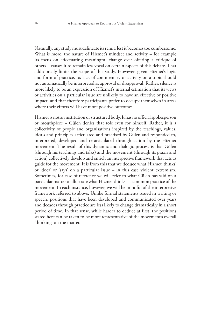Naturally, any study must delineate its remit, lest it becomes too cumbersome. What is more, the nature of Hizmet's mindset and activity – for example its focus on effectuating meaningful change over offering a critique of others – causes it to remain less vocal on certain aspects of this debate. That additionally limits the scope of this study. However, given Hizmet's logic and form of practice, its lack of commentary or activity on a topic should not automatically be interpreted as approval or disapproval. Rather, silence is more likely to be an expression of Hizmet's internal estimation that its views or activities on a particular issue are unlikely to have an effective or positive impact, and that therefore participants prefer to occupy themselves in areas where their efforts will have more positive outcomes.

Hizmet is not an institution or structured body. It has no official spokesperson or mouthpiece – Gülen denies that role even for himself. Rather, it is a collectivity of people and organisations inspired by the teachings, values, ideals and principles articulated and practised by Gülen and responded to, interpreted, developed and re-articulated through action by the Hizmet movement. The result of this dynamic and dialogic process is that Gülen (through his teachings and talks) and the movement (through its praxis and action) collectively develop and enrich an interpretive framework that acts as guide for the movement. It is from this that we deduce what Hizmet 'thinks' or 'does' or 'says' on a particular issue – in this case violent extremism. Sometimes, for ease of reference we will refer to what Gülen has said on a particular matter to illustrate what Hizmet thinks – a common practice of the movement. In each instance, however, we will be mindful of the interpretive framework referred to above. Unlike formal statements issued in writing or speech, positions that have been developed and communicated over years and decades through practice are less likely to change dramatically in a short period of time. In that sense, while harder to deduce at first, the positions stated here can be taken to be more representative of the movement's overall 'thinking' on the matter.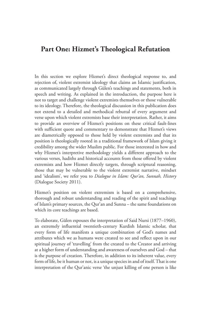#### **Part One: Hizmet's Theological Refutation**

In this section we explore Hizmet's direct theological response to, and rejection of, violent extremist ideology that claims an Islamic justification, as communicated largely through Gülen's teachings and statements, both in speech and writing. As explained in the introduction, the purpose here is not to target and challenge violent extremists themselves or those vulnerable to its ideology. Therefore, the theological discussion in this publication does not extend to a detailed and methodical rebuttal of every argument and verse upon which violent extremists base their interpretation. Rather, it aims to provide an overview of Hizmet's positions on these critical fault-lines with sufficient quote and commentary to demonstrate that Hizmet's views are diametrically opposed to those held by violent extremists and that its position is theologically rooted in a traditional framework of Islam giving it credibility among the wider Muslim public. For those interested in how and why Hizmet's interpretive methodology yields a different approach to the various verses, hadiths and historical accounts from those offered by violent extremists and how Hizmet directly targets, through scriptural reasoning, those that may be vulnerable to the violent extremist narrative, mindset and 'idealism', we refer you to *Dialogue in Islam: Qur'an, Sunnah, History* (Dialogue Society 2011).

Hizmet's position on violent extremism is based on a comprehensive, thorough and robust understanding and reading of the spirit and teachings of Islam's primary sources, the Qur'an and Sunna – the same foundations on which its core teachings are based.

To elaborate, Gülen espouses the interpretation of Said Nursi (1877–1960), an extremely influential twentieth-century Kurdish Islamic scholar, that every form of life manifests a unique combination of God's names and attributes which we as humans were created to see and reflect upon in our spiritual journey of 'travelling' from the created to the Creator and arriving at a higher form of understanding and awareness of ourselves and God – that is the purpose of creation. Therefore, in addition to its inherent value, every form of life, be it human or not, is a unique species in and of itself. That is one interpretation of the Qur'anic verse 'the unjust killing of one person is like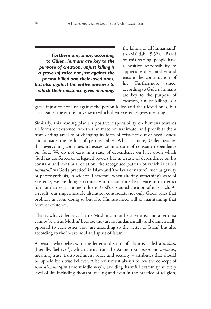*Furthermore, since, according to Gülen, humans are key to the purpose of creation, unjust killing is a grave injustice not just against the person killed and their loved ones, but also against the entire universe to which their existence gives meaning.*

the killing of all humankind' (Al-Ma'idah 5:32). Based on this reading, people have a positive responsibility to appreciate one another and ensure the continuation of life. Furthermore, since, according to Gülen, humans are key to the purpose of creation, unjust killing is a

grave injustice not just against the person killed and their loved ones, but also against the entire universe to which their existence gives meaning.

Similarly, this reading places a positive responsibility on humans towards all forms of existence, whether animate or inanimate, and prohibits them from ending any life or changing its form of existence out of heedlessness and outside the realms of permissibility. What is more, Gülen teaches that everything continues its existence in a state of constant dependence on God. We do not exist in a state of dependence on laws upon which God has conferred or delegated powers but in a state of dependence on his constant and continual creation, the recognised pattern of which is called *sunnatullah* (God's practice) in Islam and 'the laws of nature', such as gravity or photosynthesis, in science. Therefore, when altering something's state of existence, we are doing so contrary to its continued existence in that exact form at that exact moment due to God's sustained creation of it as such. As a result, our impermissible alteration contradicts not only God's rules that prohibit us from doing so but also His sustained will of maintaining that form of existence.

That is why Gülen says 'a true Muslim cannot be a terrorist and a terrorist cannot be a true Muslim' because they are so fundamentally and diametrically opposed to each other, not just according to the 'letter of Islam' but also according to the 'heart, soul and spirit of Islam'.

A person who believes in the letter and spirit of Islam is called a *mu'min* (literally, 'believer'), which stems from the Arabic roots *amn* and *amanah*, meaning trust, trustworthiness, peace and security – attributes that should be upheld by a true believer. A believer must always follow the concept of *sirat al-mustaqim* ('the middle way'), avoiding harmful extremity at every level of life including thought, feeling and even in the practice of religion,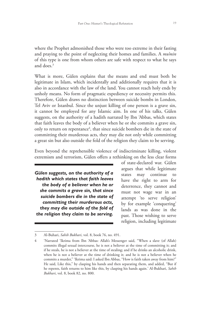where the Prophet admonished those who were too extreme in their fasting and praying to the point of neglecting their homes and families. A *mu'min* of this type is one from whom others are safe with respect to what he says and does.<sup>3</sup>

What is more, Gülen explains that the means and end must both be legitimate in Islam, which incidentally and additionally requires that it is also in accordance with the law of the land. You cannot reach holy ends by unholy means. No form of pragmatic expediency or necessity permits this. Therefore, Gülen draws no distinction between suicide bombs in London, Tel Aviv or Istanbul. Since the unjust killing of one person is a grave sin, it cannot be employed for any Islamic aim. In one of his talks, Gülen suggests, on the authority of a hadith narrated by Ibn 'Abbas, which states that faith leaves the body of a believer when he or she commits a grave sin, only to return on repentance<sup>4</sup>, that since suicide bombers die in the state of committing their murderous acts, they may die not only while committing a great sin but also outside the fold of the religion they claim to be serving.

Even beyond the reprehensible violence of indiscriminate killing, violent extremism and terrorism, Gülen offers a rethinking on the less clear forms

*Gülen suggests, on the authority of a hadith which states that faith leaves the body of a believer when he or she commits a grave sin, that since suicide bombers die in the state of committing their murderous acts, they may die outside of the fold of the religion they claim to be serving.* 

of state-declared war. Gülen argues that while legitimate states may continue to have the right to arm for deterrence, they cannot and must not wage war in an attempt 'to serve religion' by for example 'conquering' lands as was done in the past. Those wishing to serve religion, including legitimate

<sup>3</sup> Al-Buhari, *Sahih Bukhari*, vol. 8, book 76, no. 491.

<sup>4</sup> 'Narrated 'Ikrima from Ibn 'Abbas: Allah's Messenger said, "When a slave (of Allah) commits illegal sexual intercourse, he is not a believer at the time of committing it; and if he steals, he is not a believer at the time of stealing; and if he drinks an alcoholic drink, when he is not a believer at the time of drinking it; and he is not a believer when he commits a murder," 'Ikrima said: I asked Ibn Abbas, "How is faith taken away from him?" He said, Like this," by clasping his hands and then separating them, and added, "But if he repents, faith returns to him like this, by clasping his hands again.' Al-Bukhari, *Sahih Bukhari*, vol. 8, book 82, no. 800.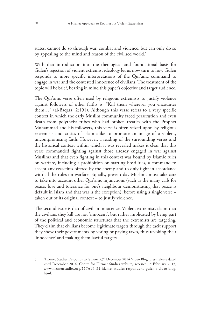states, cannot do so through war, combat and violence, but can only do so by appealing to the mind and reason of the civilised world.<sup>5</sup>

With that introduction into the theological and foundational basis for Gülen's rejection of violent extremist ideology let us now turn to how Gülen responds to more specific interpretations of the Qur'anic command to engage in war and the contested innocence of civilians. The treatment of the topic will be brief, bearing in mind this paper's objective and target audience.

The Qur'anic verse often used by religious extremists to justify violence against followers of other faiths is: "Kill them wherever you encounter them…" (al-Baqara, 2:191). Although this verse refers to a very specific context in which the early Muslim community faced persecution and even death from polytheist tribes who had broken treaties with the Prophet Muhammad and his followers, this verse is often seized upon by religious extremists and critics of Islam alike to promote an image of a violent, uncompromising faith. However, a reading of the surrounding verses and the historical context within which it was revealed makes it clear that this verse commanded fighting against those already engaged in war against Muslims and that even fighting in this context was bound by Islamic rules on warfare, including a prohibition on starting hostilities, a command to accept any ceasefires offered by the enemy and to only fight in accordance with all the rules on warfare. Equally, present-day Muslims must take care to take into account other Qur'anic injunctions (such as the many calls for peace, love and tolerance for one's neighbour demonstrating that peace is default in Islam and that war is the exception), before using a single verse – taken out of its original context – to justify violence.

The second issue is that of civilian innocence. Violent extremists claim that the civilians they kill are not 'innocent', but rather implicated by being part of the political and economic structures that the extremists are targeting. They claim that civilians become legitimate targets through the tacit support they show their governments by voting or paying taxes, thus revoking their 'innocence' and making them lawful targets.

<sup>5</sup> 'Hizmet Studies Responds to Gülen's 23rd December 2014 Video Blog' press release dated 23rd December 2014, Centre for Hizmet Studies website, accessed 1st February 2015, www.hizmetstudies.org/117A19\_31-hizmet-studies-responds-to-gulen-s-video-blog. html.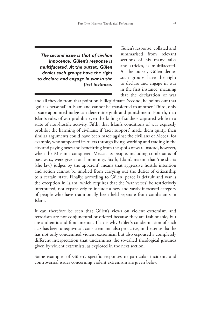*The second issue is that of civilian innocence. Gülen's response is multifaceted. At the outset, Gülen denies such groups have the right to declare and engage in war in the first instance.*

Gülen's response, collated and summarised from relevant sections of his many talks and articles, is multifaceted. At the outset, Gülen denies such groups have the right to declare and engage in war in the first instance, meaning that the declaration of war

and all they do from that point on is illegitimate. Second, he points out that 'guilt is personal' in Islam and cannot be transferred to another. Third, only a state-appointed judge can determine guilt and punishment. Fourth, that Islam's rules of war prohibit even the killing of soldiers captured while in a state of non-hostile activity. Fifth, that Islam's conditions of war expressly prohibit the harming of civilians: if 'tacit support' made them guilty, then similar arguments could have been made against the civilians of Mecca, for example, who supported its rulers through living, working and trading in the city and paying taxes and benefitting from the spoils of war. Instead, however, when the Muslims conquered Mecca, its people, including combatants of past wars, were given total immunity. Sixth, Islam's maxim that 'the sharia (the law) judges by the apparent' means that aggressive hostile intention and action cannot be implied from carrying out the duties of citizenship to a certain state. Finally, according to Gülen, peace is default and war is the exception in Islam, which requires that the 'war verses' be restrictively interpreted, not expansively to include a new and vastly increased category of people who have traditionally been held separate from combatants in Islam.

It can therefore be seen that Gülen's views on violent extremism and terrorism are not conjunctural or offered because they are fashionable, but are authentic and fundamental. That is why Gülen's condemnation of such acts has been unequivocal, consistent and also proactive, in the sense that he has not only condemned violent extremism but also espoused a completely different interpretation that undermines the so-called theological grounds given by violent extremists, as explored in the next section.

Some examples of Gülen's specific responses to particular incidents and controversial issues concerning violent extremism are given below: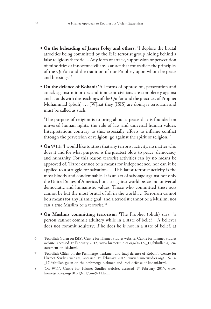- **• On the beheading of James Foley and others: '**I deplore the brutal atrocities being committed by the ISIS terrorist group hiding behind a false religious rhetoric.... Any form of attack, suppression or persecution of minorities or innocent civilians is an act that contradicts the principles of the Qur'an and the tradition of our Prophet, upon whom be peace and blessings.'6
- **• On the defence of Kobani: '**All forms of oppression, persecution and attack against minorities and innocent civilians are completely against and at odds with the teachings of the Qur'an and the practices of Prophet Muhammad (pbuh) … [W]hat they [ISIS] are doing is terrorism and must be called as such.'

'The purpose of religion is to bring about a peace that is founded on universal human rights, the rule of law and universal human values. Interpretations contrary to this, especially efforts to inflame conflict through the perversion of religion, go against the spirit of religion.'7

- **On 9/11:** 'I would like to stress that any terrorist activity, no matter who does it and for what purpose, is the greatest blow to peace, democracy and humanity. For this reason terrorist activities can by no means be approved of. Terror cannot be a means for independence, nor can it be applied to a struggle for salvation…. This latest terrorist activity is the most bloody and condemnable. It is an act of sabotage against not only the United States of America, but also against world peace and universal democratic and humanistic values. Those who committed these acts cannot be but the most brutal of all in the world…. Terrorism cannot be a means for any Islamic goal, and a terrorist cannot be a Muslim, nor can a true Muslim be a terrorist.'8
- **• On Muslims committing terrorism: '**The Prophet (pbuh) says: "a person cannot commit adultery while in a state of belief''. A believer does not commit adultery; if he does he is not in a state of belief, at

<sup>6</sup> 'Fethullah Gülen on ISIS', Centre for Hizmet Studies website, Centre for Hizmet Studies website, accessed 1<sup>st</sup> February 2015, www.hizmetstudies.org/60-13-\_17,fethullah-gulenstatement-on-isis.html.

<sup>7</sup> 'Fethullah Gülen on the Peshmerge, Turkmen and Iraqi defense of Kobani', Centre for Hizmet Studies website, accessed 1st February 2015, www.hizmetstudies.org/115-13-\_17,fethullah-gulen-on-the-peshmerge-turkmen-and-iraqi-defense-of-kobani.html.

<sup>8 &#</sup>x27;On 9/11', Centre for Hizmet Studies website, accessed 1st February 2015, www. hizmetstudies.org/101-13-\_17,on-9-11.html.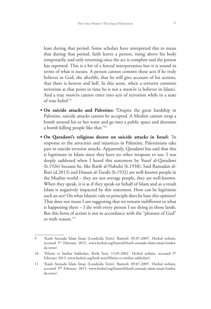least during that period. Some scholars have interpreted this to mean that during that period, faith leaves a person, rising above his body temporarily, and only returning once the act is complete and the person has repented. This is a bit of a forced interpretation but it is sound in terms of what it means. A person cannot commit these acts if he truly believes in God, the afterlife, that he will give account of his actions, that there is heaven and hell. In this sense, when a terrorist commits terrorism at that point in time he is not a *mum'in* (a believer in Islam). And a true *mum'in* cannot enter into acts of terrorism while in a state of true belief.'9

- **• On suicide attacks and Palestine: '**Despite the great hardship in Palestine, suicide attacks cannot be accepted. A Muslim cannot strap a bomb around his or her waist and go into a public space and detonate a bomb killing people like that.'10
- **• On Qaradawi's religious decree on suicide attacks in Israel:** 'In response to the atrocities and injustices in Palestine, Palestinians take part in suicide terrorist attacks. Apparently, Qaradawi has said that this is legitimate in Islam since they have no other weapons to use. I was deeply saddened when I heard this statement by Yusuf al-Qaradawi (b.1926) because he, like Ratib al-Nabulsi (b.1938), Said Ramadan al-Buti (d.2013) and Hassan al-Turabi (b.1932) are well-known people in the Muslim world – they are not average people, they are well-known. When they speak, it is as if they speak on behalf of Islam and as a result Islam is negatively impacted by this statement. How can he legitimise such an act? On what Islamic rule or principle does he base this opinion? That does not mean I am suggesting that we remain indifferent to what is happening there – I die with every person I see dying in those lands. But this form of action is not in accordance with the "pleasure of God" or with reason.'11

<sup>9</sup> 'Kanlı Arenada İslam İmajı (Londra'da Terör). Bamteli. 09.07.2005', Herkul website, accessed 5<sup>th</sup> February 2015, www.herkul.org/bamteli/kanli-arenada-islam-imaji-londrada-teror/.

<sup>10 &#</sup>x27;Filistin ve İntihar Saldırıları. Kirik Testi, 13.05.2002.' Herkul website, accessed 5<sup>th</sup> February 2015, www.herkul.org/kirik-testi/filistin-ve-intihar-saldirilari/.

<sup>11</sup> 'Kanlı Arenada İslam İmajı (Londra'da Terör). Bamteli. 09.07.2005', Herkul website, accessed 5th February 2015, www.herkul.org/bamteli/kanli-arenada-islam-imaji-londrada-teror/.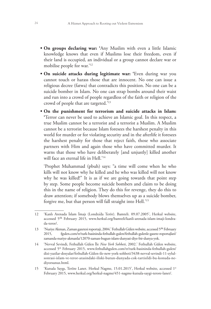- **• On groups declaring war: '**Any Muslim with even a little Islamic knowledge knows that even if Muslims lose their freedom, even if their land is occupied, an individual or a group cannot declare war or mobilise people for war.'12
- **• On suicide attacks during legitimate war: '**Even during war you cannot touch or harass those that are innocent. No one can issue a religious decree (fatwa) that contradicts this position. No one can be a suicide bomber in Islam. No one can strap bombs around their waist and run into a crowd of people regardless of the faith or religion of the crowd of people that are targeted.'13
- **• On the punishment for terrorism and suicide attacks in Islam: '**Terror can never be used to achieve an Islamic goal. In this respect, a true Muslim cannot be a terrorist and a terrorist a Muslim. A Muslim cannot be a terrorist because Islam foresees the harshest penalty in this world for murder or for violating security and in the afterlife it foresees the harshest penalty for those that reject faith, those who associate partners with Him and again those who have committed murder. It warns that those who have deliberately [and unjustly] killed another will face an eternal life in Hell.'14

'Prophet Muhammad (pbuh) says: "a time will come when he who kills will not know why he killed and he who was killed will not know why he was killed!" It is as if we are going towards that point step by step. Some people become suicide bombers and claim to be doing this in the name of religion. They do this for revenge, they do this to draw attention; if somebody blows themselves up as a suicide bomber, forgive me, but that person will fall straight into Hell.'15

<sup>12</sup> 'Kanlı Arenada İslam İmajı (Londra'da Terör). Bamteli. 09.07.2005', Herkul website, accessed 5th February 2015, www.herkul.org/bamteli/kanli-arenada-islam-imaji-londrada-teror/.

<sup>13</sup> 'Nuriye Akman, Zaman gazetesi roportaji, 2004.' Fethullah Gülen website, accessed 5th February 2015, fgulen.com/tr/turk-basininda-fethullah-gulen/fethullah-gulenle-gazete-roportajlari/ zamanda-nuriye-akmanla/12070-zaman-bugun-islam-dunyasi-diye-bir-dunya-yok.

<sup>14</sup> 'Nevval Sevindi, Fethullah Gülen İle *New York Sohbeti*, 2002.' Fethullah Gülen website, accessed 5<sup>th</sup> February 2015, www.fethullahgulen.com/tr/turk-basininda-fethullah-gulen/ dizi-yazilar-dosyalar/fethullah-Gülen-ile-new-york-sohbeti/3438-nevval-sevindi-11-eylulsonrasi-islam-ve-teror-arasindaki-iliski-butun-dunyada-cok-tartisildi-bu-konuda-nediyorsunuz.html.

<sup>15</sup> 'Kutsala Saygı, Teröre Lanet. Herkul Nagme, 15.01.2015', Herkul website, accessed 1st February 2015, www.herkul.org/herkul-nagme/451-nagme-kutsala-saygi-terore-lanet/.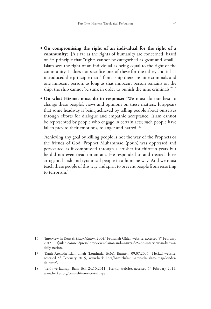- **• On compromising the right of an individual for the right of a community: '**[A]s far as the rights of humanity are concerned, based on its principle that "rights cannot be categorised as great and small," Islam sees the right of an individual as being equal to the right of the community. It does not sacrifice one of these for the other, and it has introduced the principle that "if on a ship there are nine criminals and one innocent person, as long as that innocent person remains on the ship, the ship cannot be sunk in order to punish the nine criminals."'16
- **• On what Hizmet must do in response: '**We must do our best to change these people's views and opinions on these matters. It appears that some headway is being achieved by telling people about ourselves through efforts for dialogue and empathic acceptance. Islam cannot be represented by people who engage in certain acts; such people have fallen prey to their emotions, to anger and hatred.'<sup>17</sup>

'Achieving any goal by killing people is not the way of the Prophets or the friends of God. Prophet Muhammad (pbuh) was oppressed and persecuted as if compressed through a crusher for thirteen years but he did not even tread on an ant. He responded to and treated those arrogant, harsh and tyrannical people in a humane way. And we must teach these people of this way and spirit to prevent people from resorting to terrorism.'18

<sup>16 &#</sup>x27;Interview in Kenya's *Daily Nation*, 2004.' Fethullah Gülen website, accessed 5<sup>th</sup> February 2015, fgulen.com/en/press/interviews-claims-and-answers/25238-interview-in-kenyasdaily-nation.

<sup>17</sup> 'Kanlı Arenada İslam İmajı (Londra'da Terör). Bamteli. 09.07.2005', Herkul website, accessed 5th February 2015, www.herkul.org/bamteli/kanli-arenada-islam-imaji-londrada-teror/.

<sup>18 &#</sup>x27;Terör ve Izdırap. Bam Teli, 24.10.2011.' Herkul website, accessed 1<sup>st</sup> February 2015, www.herkul.org/bamteli/teror-ve-izdirap/.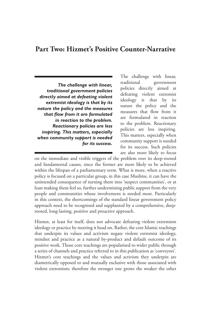#### **Part Two: Hizmet's Positive Counter-Narrative**

*The challenge with linear, traditional government policies directly aimed at defeating violent extremist ideology is that by its nature the policy and the measures that flow from it are formulated in reaction to the problem. Reactionary policies are less inspiring. This matters, especially when community support is needed for its success.*

The challenge with linear, traditional government policies directly aimed at defeating violent extremist ideology is that by its nature the policy and the measures that flow from it are formulated in reaction to the problem. Reactionary policies are less inspiring. This matters, especially when community support is needed for its success. Such policies are also more likely to focus

on the immediate and visible triggers of the problem over its deep-rooted and fundamental causes, since the former are more likely to be achieved within the lifespan of a parliamentary term. What is more, when a reactive policy is focused on a particular group, in this case Muslims, it can have the unintended consequence of turning them into 'suspect communities', or at least making them feel so, further undermining public support from the very people and communities whose involvement is needed most. Particularly in this context, the shortcomings of the standard linear government policy approach need to be recognised and supplanted by a comprehensive, deeprooted, long-lasting, positive and proactive approach.

Hizmet, at least for itself, does not advocate defeating violent extremism ideology or practice by meeting it head on. Rather, the core Islamic teachings that underpin its values and activism negate violent extremist ideology, mindset and practice as a natural by-product and default outcome of its positive work. Those core teachings are popularised to wider public through a series of channels and practice referred to in this publication as 'conveyors'. Hizmet's core teachings and the values and activism they underpin are diametrically opposed to and mutually exclusive with those associated with violent extremism; therefore the stronger one grows the weaker the other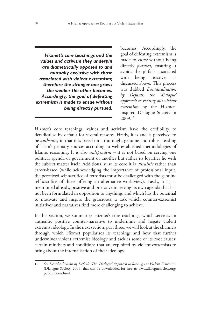*Hizmet's core teachings and the values and activism they underpin are diametrically opposed to and mutually exclusive with those associated with violent extremism; therefore the stronger one grows the weaker the other becomes. Accordingly, the goal of defeating extremism is made to ensue without being directly pursued.*

becomes. Accordingly, the goal of defeating extremism is made to *ensue* without being directly *pursued*, ensuring it avoids the pitfalls associated with being reactive, as discussed above. This process was dubbed *Deradicalisation by Default: the 'dialogue' approach to rooting out violent extremism* by the Hizmetinspired Dialogue Society in 2009.19

Hizmet's core teachings, values and activism have the credibility to deradicalise by default for several reasons. Firstly, it is and is perceived to be *authentic*, in that it is based on a thorough, genuine and robust reading of Islam's primary sources according to well-established methodologies of Islamic reasoning. It is also *independent* – it is not based on serving one political agenda or government or another but rather its loyalties lie with the subject matter itself. Additionally, at its core it is *altruistic* rather than career-based (while acknowledging the importance of professional input, the perceived self-sacrifice of terrorists must be challenged with the genuine self-sacrifice of those offering an alternative worldview). Lastly, it is, as mentioned already, positive and proactive in setting its own agenda that has not been formulated in opposition to anything, and which has the potential to motivate and inspire the grassroots, a task which counter-extremist initiatives and narratives find more challenging to achieve.

In this section, we summarize Hizmet's core teachings, which serve as an authentic positive counter-narrative to undermine and negate violent extremist ideology. In the next section, part three, we will look at the channels through which Hizmet popularises its teachings and how that further undermines violent extremist ideology and tackles some of its root causes: certain mindsets and conditions that are exploited by violent extremists to bring about the internalisation of their ideology.

<sup>19</sup> *See Deradicalisation by Default: The 'Dialogue' Approach to Rooting out Violent Extremism* (Dialogue Society, 2009) that can be downloaded for free at: www.dialoguesociety.org/ publications.html.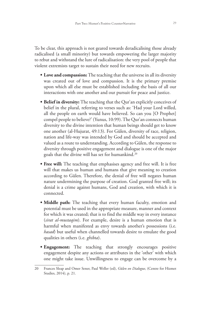To be clear, this approach is not geared towards deradicalising those already radicalised (a small minority) but towards empowering the larger majority to rebut and withstand the lure of radicalisation: the very pool of people that violent extremists target to sustain their need for new recruits.

- Love and compassion: The teaching that the universe in all its diversity was created out of love and compassion. It is the primary premise upon which all else must be established including the basis of all our interactions with one another and our pursuit for peace and justice.
- **Belief in diversity:** The teaching that the Qur'an explicitly conceives of belief in the plural, referring to verses such as: 'Had your Lord willed, all the people on earth would have believed. So can you [O Prophet] compel people to believe?' (Yunus, 10:99). The Qur'an connects human diversity to the divine intention that human beings should get to know one another (al-Hujurat, 49:13). For Gülen, diversity of race, religion, nation and life-way was intended by God and should be accepted and valued as a route to understanding. According to Gülen, the response to diversity through positive engagement and dialogue is one of the major goals that the divine will has set for humankind.20
- Free will: The teaching that emphasises agency and free will. It is free will that makes us human and humans that give meaning to creation according to Gülen. Therefore, the denial of free will negates human nature undermining the purpose of creation. God granted free will; its denial is a crime against humans, God and creation, with which it is connected.
- **Middle path:** The teaching that every human faculty, emotion and potential must be used in the appropriate measure, manner and context for which it was created; that is to find the middle way in every instance (*sirat al-mustaqim*). For example, desire is a human emotion that is harmful when manifested as envy towards another's possessions (i.e. *hasad*) but useful when channelled towards desire to emulate the good qualities in others (i.e. *ghibta*).
- **Engagement:** The teaching that strongly encourages positive engagement despite any actions or attributes in the 'other' with which one might take issue. Unwillingness to engage can be overcome by a

<sup>20</sup> Frances Sleap and Omer Sener, Paul Weller (ed), *Gülen on Dialogue*, (Centre for Hizmet Studies, 2014), p. 21.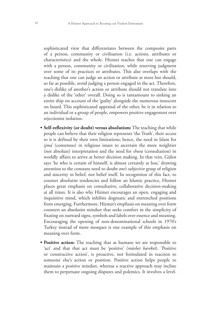sophisticated view that differentiates between the composite parts of a person, community or civilisation (i.e. actions, attributes or characteristics) and the whole. Hizmet teaches that one can engage with a person, community or civilisation, while reserving judgment over some of its practices or attributes. This also overlaps with the teaching that one can judge an action or attribute at most but should, so far as possible, avoid judging a person engaged in the act. Therefore, one's dislike of another's action or attribute should not translate into a dislike of the 'other' overall. Doing so is tantamount to sinking an entire ship on account of the 'guilty' alongside the numerous innocent on board. This sophisticated appraisal of the other, be it in relation to an individual or a group of people, empowers positive engagement over rejectionist isolation.

- **Self-reflexivity (or doubt) versus absolutism:** The teaching that while people can believe that their religion represents 'the Truth', their access to it is defined by their own limitations; hence, the need in Islam for *ijma'* (consensus) in religious issues to ascertain the more weightier (not absolute) interpretation and the need for *shura* (consultation) in worldly affairs to arrive at better decision making. In that vein, Gülen says 'he who is certain of himself, is almost certainly at loss,' drawing attention to the constant need to doubt *one's subjective* grasp of religion and sincerity in belief, not belief itself. In recognition of this fact, to counter absolutist tendencies and follow an Islamic practice, Hizmet places great emphasis on consultative, collaborative decision-making at all times. It is also why Hizmet encourages an open, engaging and inquisitive mind, which inhibits dogmatic and entrenched positions from emerging. Furthermore, Hizmet's emphasis on meaning over form counters an absolutist mindset that seeks comfort in the simplicity of fixating on outward signs, symbols and labels over essence and meaning. Encouraging the opening of non-denominational schools in 1970's Turkey instead of more mosques is one example of this emphasis on meaning over form.
- **Positive action:** The teaching that as humans we are responsible to 'act' and that that act must be 'positive' (*müsbet hareket*). 'Positive or constructive action', is proactive, not formulated in reaction to someone else's action or position. Positive action helps people to maintain a positive mindset, whereas a reactive approach may incline them to perpetuate ongoing disputes and polemics. It involves a level-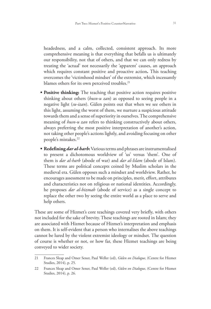headedness, and a calm, collected, consistent approach. Its more comprehensive meaning is that everything that befalls us is ultimately our responsibility, not that of others, and that we can only redress by treating the 'actual' not necessarily the 'apparent' causes, an approach which requires constant positive and proactive action**.** This teaching overcomes the 'victimhood mindset' of the extremist, which incessantly blames others for its own perceived troubles.<sup>21</sup>

- **Positive thinking:** The teaching that positive action requires positive thinking about others (*husn-u zan*) as opposed to seeing people in a negative light (*su-izan*). Gülen points out that when we see others in this light, assuming the worst of them, we nurture a suspicious attitude towards them and a sense of superiority in ourselves. The comprehensive meaning of *husn-u zan* refers to thinking constructively about others, always preferring the most positive interpretation of another's action, not taking other people's actions lightly, and avoiding focusing on other people's mistakes.<sup>22</sup>
- **• Redefining** *dar al-harb***:** Various terms and phrases are instrumentalised to present a dichotomous worldview of 'us' versus 'them'. One of them is *dar al-harb* (abode of war) and *dar al-Islam* (abode of Islam). These terms are political concepts coined by Muslim scholars in the medieval era. Gülen opposes such a mindset and worldview. Rather, he encourages assessment to be made on principles, merit, effort, attributes and characteristics not on religious or national identities. Accordingly, he proposes *dar al-hizmah* (abode of service) as a single concept to replace the other two by seeing the entire world as a place to serve and help others.

These are some of Hizmet's core teachings covered very briefly, with others not included for the sake of brevity. These teachings are rooted in Islam; they are associated with Hizmet because of Hizmet's interpretation and emphasis on them. It is self-evident that a person who internalises the above teachings cannot be lured by the violent extremist ideology or mindset. The question of course is whether or not, or how far, these Hizmet teachings are being conveyed to wider society.

<sup>21</sup> Frances Sleap and Omer Sener, Paul Weller (ed), *Gülen on Dialogue*, (Centre for Hizmet Studies, 2014), p. 25.

<sup>22</sup> Frances Sleap and Omer Sener, Paul Weller (ed), *Gülen on Dialogue*, (Centre for Hizmet Studies, 2014), p. 26.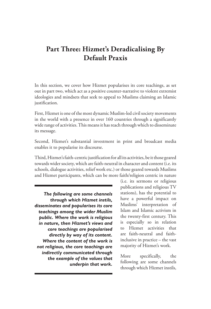## **Part Three: Hizmet's Deradicalising By Default Praxis**

In this section, we cover how Hizmet popularises its core teachings, as set out in part two, which act as a positive counter-narrative to violent extremist ideologies and mindsets that seek to appeal to Muslims claiming an Islamic justification.

First, Hizmet is one of the most dynamic Muslim-led civil society movements in the world with a presence in over 160 countries through a significantly wide range of activities. This means it has reach through which to disseminate its message.

Second, Hizmet's substantial investment in print and broadcast media enables it to popularise its discourse.

Third, Hizmet's faith-centric justification for all its activities, be it those geared towards wider society, which are faith-neutral in character and content (i.e. its schools, dialogue activities, relief work etc.) or those geared towards Muslims and Hizmet participants, which can be more faith/religion centric in nature

*The following are some channels through which Hizmet instils, disseminates and popularises its core teachings among the wider Muslim public. Where the work is religious in nature, then Hizmet's views and core teachings are popularised directly by way of its content. Where the content of the work is not religious, the core teachings are indirectly communicated through the example of the values that underpin that work.* 

(i.e. its sermons or religious publications and religious TV stations), has the potential to have a powerful impact on Muslims' interpretation of Islam and Islamic activism in the twenty-first century. This is especially so in relation to Hizmet activities that are faith-neutral and faithinclusive in practice – the vast majority of Hizmet's work.

More specifically, the following are some channels through which Hizmet instils,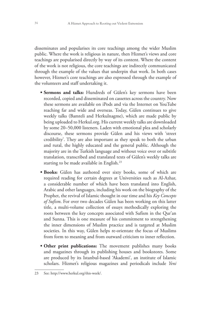disseminates and popularises its core teachings among the wider Muslim public. Where the work is religious in nature, then Hizmet's views and core teachings are popularised directly by way of its content. Where the content of the work is not religious, the core teachings are indirectly communicated through the example of the values that underpin that work. In both cases however, Hizmet's core teachings are also expressed through the example of the volunteers and staff undertaking it.

- **• Sermons and talks:** Hundreds of Gülen's key sermons have been recorded, copied and disseminated on cassettes across the country. Now these sermons are available on iPods and via the Internet on YouTube reaching far and wide and overseas. Today, Gülen continues to give weekly talks (Bamteli and Herkulnagme), which are made public by being uploaded to Herkul.org. His current weekly talks are downloaded by some 20–50,000 listeners. Laden with emotional plea and scholarly discourse, these sermons provide Gülen and his views with 'street credibility'. They are also important as they speak to both the urban and rural, the highly educated and the general public. Although the majority are in the Turkish language and without voice over or subtitle translation, transcribed and translated texts of Gülen's weekly talks are starting to be made available in English.<sup>23</sup>
- **• Books:** Gülen has authored over sixty books, some of which are required reading for certain degrees at Universities such as Al-Azhar, a considerable number of which have been translated into English, Arabic and other languages, including his work on the biography of the Prophet, the revival of Islamic thought in our time and his *Key Concepts of Sufism*. For over two decades Gülen has been working on this latter title, a multi-volume collection of essays methodically exploring the roots between the key concepts associated with Sufism in the Qur'an and Sunna. This is one measure of his commitment to strengthening the inner dimensions of Muslim practice and is targeted at Muslim societies. In this way, Gülen helps re-orientate the focus of Muslims from form to meaning and from outward criticism to inner reflection.
- Other print publications: The movement publishes many books and magazines through its publishing houses and bookstores. Some are produced by its Istanbul-based 'Akademi', an institute of Islamic scholars. Hizmet's religious magazines and periodicals include *Yeni*

<sup>23</sup> See: http://www.herkul.org/this-week/.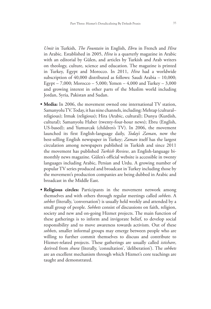*Umit* in Turkish, *The Fountain* in English, *Ebru* in French and *Hira* in Arabic. Established in 2005, *Hira* is a quarterly magazine in Arabic with an editorial by Gülen, and articles by Turkish and Arab writers on theology, culture, science and education. The magazine is printed in Turkey, Egypt and Morocco. In 2011, *Hira* had a worldwide subscription of 40,000 distributed as follows: Saudi Arabia – 10,000; Egypt – 7,000; Morocco – 5,000; Yemen – 4,000 and Turkey – 3,000 and growing interest in other parts of the Muslim world including Jordan, Syria, Pakistan and Sudan.

- Media: In 2006, the movement owned one international TV station, Samanyolu TV. Today, it has nine channels, including: Mehtap (cultural– religious); Irmak (religious); Hira (Arabic, cultural); Dunya (Kurdish, cultural); Samanyolu Haber (twenty-four-hour news); Ebru (English, US-based); and Yumurcak (children's TV). In 2006, the movement launched its first English-language daily, *Today's Zaman*, now the best-selling English newspaper in Turkey; *Zaman* itself has the largest circulation among newspapers published in Turkish and since 2011 the movement has published *Turkish Review*, an English-language bimonthly news magazine. Gülen's official website is accessible in twenty languages including Arabic, Persian and Urdu. A growing number of popular TV series produced and broadcast in Turkey including those by the movement's production companies are being dubbed in Arabic and broadcast in the Middle East.
- **Religious circles:** Participants in the movement network among themselves and with others through regular meetings called *sohbets*. A *sohbet* (literally, 'conversation') is usually held weekly and attended by a small group of people. *Sohbets* consist of discussions on faith, religion, society and new and on-going Hizmet projects. The main function of these gatherings is to inform and invigorate belief, to develop social responsibility and to move awareness towards activism. Out of these *sohbets*, smaller informal groups may emerge between people who are willing to further commit themselves to discuss and contribute to Hizmet-related projects. These gatherings are usually called *istishare*, derived from *shura* (literally, 'consultation', 'deliberation'). The *sohbets* are an excellent mechanism through which Hizmet's core teachings are taught and demonstrated.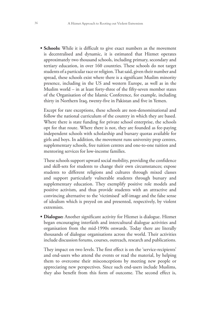• **Schools:** While it is difficult to give exact numbers as the movement is decentralised and dynamic, it is estimated that Hizmet operates approximately two thousand schools, including primary, secondary and tertiary education, in over 160 countries. These schools do not target students of a particular race or religion. That said, given their number and spread, these schools exist where there is a significant Muslim minority presence, including in the US and western Europe, as well as in the Muslim world – in at least forty-three of the fifty-seven member states of the Organisation of the Islamic Conference, for example, including thirty in Northern Iraq, twenty-five in Pakistan and five in Yemen.

Except for rare exceptions, these schools are non-denominational and follow the national curriculum of the country in which they are based. Where there is state funding for private school enterprise, the schools opt for that route. Where there is not, they are founded as fee-paying independent schools with scholarship and bursary quotas available for girls and boys. In addition, the movement runs university prep centres, supplementary schools, free tuition centres and one-to-one tuition and mentoring services for low-income families.

These schools support upward social mobility, providing the confidence and skill-sets for students to change their own circumstances; expose students to different religions and cultures through mixed classes and support particularly vulnerable students through bursary and supplementary education. They exemplify positive role models and positive activism, and thus provide students with an attractive and convincing alternative to the 'victimised' self-image and the false sense of idealism which is preyed on and presented, respectively, by violent extremists.

**• Dialogue:** Another significant activity for Hizmet is dialogue. Hizmet began encouraging interfaith and intercultural dialogue activities and organisation from the mid-1990s onwards. Today there are literally thousands of dialogue organisations across the world. Their activities include discussion forums, courses, outreach, research and publications.

They impact on two levels. The first effect is on the 'service-recipients' and end-users who attend the events or read the material, by helping them to overcome their misconceptions by meeting new people or appreciating new perspectives. Since such end-users include Muslims, they also benefit from this form of outcome. The second effect is,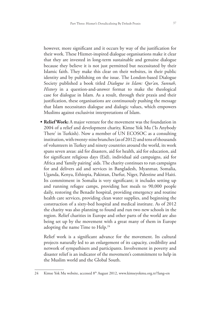however, more significant and it occurs by way of the justification for their work. These Hizmet-inspired dialogue organisations make it clear that they are invested in long-term sustainable and genuine dialogue because they believe it is not just permitted but necessitated by their Islamic faith. They make this clear on their websites, in their public identity and by publishing on the issue. The London-based Dialogue Society published a book titled *Dialogue in Islam: Qur'an, Sunnah, History* in a question-and-answer format to make the theological case for dialogue in Islam. As a result, through their praxis and their justification, these organisations are continuously pushing the message that Islam necessitates dialogue and dialogic values, which empowers Muslims against exclusivist interpretations of Islam.

• **Relief Work:** A major venture for the movement was the foundation in 2004 of a relief and development charity, Kimse Yok Mu ('Is Anybody There' in Turkish). Now a member of UN ECOSOC as a consulting institution, with twenty-nine branches (as of 2012) and tens of thousands of volunteers in Turkey and ninety countries around the world, its work spans seven areas: aid for disasters, aid for health, aid for education, aid for significant religious days (Eid), individual aid campaigns, aid for Africa and 'family pairing' aids. The charity continues to run campaigns for and delivers aid and services in Bangladesh, Myanmar, Somalia, Uganda, Kenya, Ethiopia, Pakistan, Darfur, Niger, Palestine and Haiti. Its commitment in Somalia is very significant; it includes setting up and running refugee camps, providing hot meals to 90,000 people daily, restoring the Benadir hospital, providing emergency and routine health care services, providing clean water supplies, and beginning the construction of a sixty-bed hospital and medical institute. As of 2012 the charity was also planning to found and run two new schools in the region. Relief charities in Europe and other parts of the world are also being set up by the movement with a great many of them in Europe adopting the name Time to Help.<sup>24</sup>

Relief work is a significant advance for the movement. Its cultural projects naturally led to an enlargement of its capacity, credibility and network of sympathisers and participants. Involvement in poverty and disaster relief is an indicator of the movement's commitment to help in the Muslim world and the Global South.

<sup>24</sup> Kimse Yok Mu website, accessed 8<sup>th</sup> August 2012, www.kimseyokmu.org.tr/?lang=en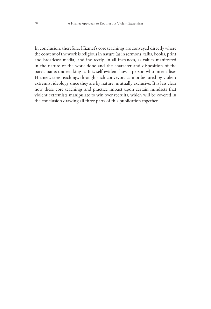In conclusion, therefore, Hizmet's core teachings are conveyed directly where the content of the work is religious in nature (as in sermons, talks, books, print and broadcast media) and indirectly, in all instances, as values manifested in the nature of the work done and the character and disposition of the participants undertaking it. It is self-evident how a person who internalises Hizmet's core teachings through such conveyors cannot be lured by violent extremist ideology since they are by nature, mutually exclusive. It is less clear how these core teachings and practice impact upon certain mindsets that violent extremists manipulate to win over recruits, which will be covered in the conclusion drawing all three parts of this publication together.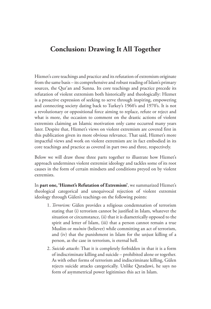#### **Conclusion: Drawing It All Together**

Hizmet's core teachings and practice and its refutation of extremism originate from the same basis – its comprehensive and robust reading of Islam's primary sources, the Qur'an and Sunna. Its core teachings and practice precede its refutation of violent extremism both historically and theologically: Hizmet is a proactive expression of seeking to serve through inspiring, empowering and connecting society dating back to Turkey's 1960's and 1970's. It is not a revolutionary or oppositional force aiming to replace, refute or reject and what is more, the occasion to comment on the drastic actions of violent extremists claiming an Islamic motivation only came occurred many years later. Despite that, Hizmet's views on violent extremism are covered first in this publication given its more obvious relevance. That said, Hizmet's more impactful views and work on violent extremism are in fact embodied in its core teachings and practice as covered in part two and three, respectively.

Below we will draw those three parts together to illustrate how Hizmet's approach undermines violent extremist ideology and tackles some of its root causes in the form of certain mindsets and conditions preyed on by violent extremists.

In **part one, 'Hizmet's Refutation of Extremism'**, we summarized Hizmet's theological categorical and unequivocal rejection of violent extremist ideology through Gülen's teachings on the following points:

- 1. *Terrorism:* Gülen provides a religious condemnation of terrorism stating that (i) terrorism cannot be justified in Islam, whatever the situation or circumstance, (ii) that it is diametrically opposed to the spirit and letter of Islam, (iii) that a person cannot remain a true Muslim or *mu'min* (believer) while committing an act of terrorism, and (iv) that the punishment in Islam for the unjust killing of a person, as the case in terrorism, is eternal hell.
- 2. *Suicide attacks*: That it is completely forbidden in that it is a form of indiscriminate killing and suicide – prohibited alone or together. As with other forms of terrorism and indiscriminate killing, Gülen rejects suicide attacks categorically. Unlike Qaradawi, he says no form of asymmetrical power legitimises this act in Islam.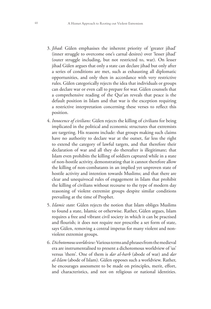- 3. *Jihad*: Gülen emphasises the inherent priority of 'greater jihad' (inner struggle to overcome one's carnal desires) over 'lesser jihad' (outer struggle including, but not restricted to, war). On lesser jihad Gülen argues that only a state can declare jihad but only after a series of conditions are met, such as exhausting all diplomatic opportunities, and only then in accordance with very restrictive rules. Gülen categorically rejects the idea that individuals or groups can declare war or even call to prepare for war. Gülen counsels that a comprehensive reading of the Qur'an reveals that peace is the default position in Islam and that war is the exception requiring a restrictive interpretation concerning these verses to reflect this position.
- 4. *Innocence of civilians:* Gülen rejects the killing of civilians for being implicated in the political and economic structures that extremists are targeting. His reasons include: that groups making such claims have no authority to declare war at the outset, far less the right to extend the category of lawful targets, and that therefore their declaration of war and all they do thereafter is illegitimate; that Islam even prohibits the killing of soldiers captured while in a state of non-hostile activity, demonstrating that it cannot therefore allow the killing of non-combatants in an implied yet unproven state of hostile activity and intention towards Muslims; and that there are clear and unequivocal rules of engagement in Islam that prohibit the killing of civilians without recourse to the type of modern day reasoning of violent extremist groups despite similar conditions prevailing at the time of Prophet.
- 5. *Islamic state*: Gülen rejects the notion that Islam obliges Muslims to found a state, Islamic or otherwise. Rather, Gülen argues, Islam requires a free and vibrant civil society in which it can be practised and flourish; it does not require nor prescribe a set form of state, says Gülen, removing a central impetus for many violent and nonviolent extremist groups.
- 6. *Dichotomous worldview:* Various terms and phrases from the medieval era are instrumentalised to present a dichotomous worldview of 'us' versus 'them'. One of them is *dar al-harb* (abode of war) and *dar al-Islam* (abode of Islam). Gülen opposes such a worldview. Rather, he encourages assessment to be made on principles, merit, effort, and characteristics, and not on religious or national identities.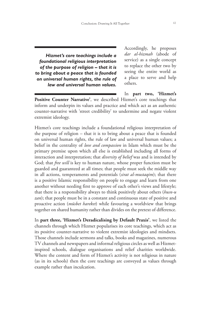*Hizmet's core teachings include a foundational religious interpretation of the purpose of religion – that it is to bring about a peace that is founded on universal human rights, the rule of law and universal human values.* Accordingly, he proposes *dar al-hizmah* (abode of service) as a single concept to replace the other two by seeing the entire world as a place to serve and help others.

In **part two, 'Hizmet's Positive Counter Narrative'**, we described Hizmet's core teachings that inform and underpin its values and practice and which act as an authentic counter-narrative with 'street credibility' to undermine and negate violent extremist ideology.

Hizmet's core teachings include a foundational religious interpretation of the purpose of religion – that it is to bring about a peace that is founded on universal human rights, the rule of law and universal human values; a belief in the centrality of *love and compassion* in Islam which must be the primary premise upon which all else is established including all forms of interaction and interpretation; that *diversity of belief* was and is intended by God; that *free will* is key to human nature, whose proper function must be guarded and guaranteed at all times; that people must seek the middle way in all actions, temperaments and potentials (*sirat al-mustaqim*); that there is a positive Islamic responsibility on people to engage and learn from one another without needing first to approve of each other's views and lifestyle; that there is a responsibility always to think positively about others (*husn-u zan*); that people must be in a constant and continuous state of positive and proactive action (*müsbet hareket*) while favouring a worldview that brings together on shared humanity rather than divides on the pretext of difference.

In **part three, 'Hizmet's Deradicalising by Default Praxis'**, we listed the channels through which Hizmet popularises its core teachings, which act as its positive counter-narrative to violent extremist ideologies and mindsets. Those channels include sermons and talks, books and magazines, numerous TV channels and newspapers and informal religious circles as well as Hizmetinspired schools, dialogue organisations and relief charities worldwide. Where the content and form of Hizmet's activity is not religious in nature (as in its schools) then the core teachings are conveyed as values through example rather than inculcation.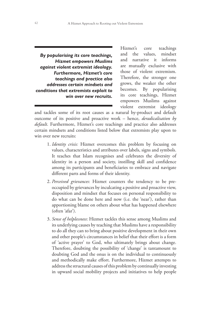*By popularising its core teachings, Hizmet empowers Muslims against violent extremist ideology. Furthermore, Hizmet's core teachings and practice also addresses certain mindsets and conditions that extremists exploit to win over new recruits.*

Hizmet's core teachings and the values, mindset and narrative it informs are mutually exclusive with those of violent extremism. Therefore, the stronger one grows, the weaker the other becomes. By popularising its core teachings, Hizmet empowers Muslims against violent extremist ideology

and tackles some of its root causes as a natural by-product and default outcome of its positive and proactive work – hence, *deradicalisation by default*. Furthermore, Hizmet's core teachings and practice also addresses certain mindsets and conditions listed below that extremists play upon to win over new recruits:

- 1. *Identity crisis:* Hizmet overcomes this problem by focusing on values, characteristics and attributes over labels, signs and symbols. It teaches that Islam recognises and celebrates the diversity of identity in a person and society, instilling skill and confidence among its participants and beneficiaries to embrace and navigate different parts and forms of their identity.
- 2. *Perceived grievances*: Hizmet counters the tendency to be preoccupied by grievances by inculcating a positive and proactive view, disposition and mindset that focuses on personal responsibility to do what can be done here and now (i.e. the 'near'), rather than apportioning blame on others about what has happened elsewhere (often 'afar').
- 3. *Sense of helplessness*: Hizmet tackles this sense among Muslims and its underlying causes by teaching that Muslims have a responsibility to do all they can to bring about positive development in their own and other people's circumstances in belief that their effort is a form of 'active prayer' to God, who ultimately brings about change. Therefore, doubting the possibility of 'change' is tantamount to doubting God and the onus is on the individual to continuously and methodically make effort. Furthermore, Hizmet attempts to address the structural causes of this problem by continually investing in upward social mobility projects and initiatives to help people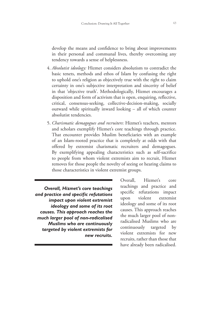develop the means and confidence to bring about improvements in their personal and communal lives, thereby overcoming any tendency towards a sense of helplessness.

- 4. *Absolutist ideology:* Hizmet considers absolutism to contradict the basic tenets, methods and ethos of Islam by confusing the right to uphold one's religion as objectively true with the right to claim certainty in one's subjective interpretation and sincerity of belief in that 'objective truth'. Methodologically, Hizmet encourages a disposition and form of activism that is open, enquiring, reflective, critical, consensus-seeking, collective-decision-making, socially outward while spiritually inward looking – all of which counter absolutist tendencies.
- 5. *Charismatic demagogues and recruiters*: Hizmet's teachers, mentors and scholars exemplify Hizmet's core teachings through practice. That encounter provides Muslim beneficiaries with an example of an Islam-rooted practice that is completely at odds with that offered by extremist charismatic recruiters and demagogues. By exemplifying appealing characteristics such as self-sacrifice to people from whom violent extremists aim to recruit, Hizmet removes for those people the novelty of seeing or hearing claims to those characteristics in violent extremist groups.

*Overall, Hizmet's core teachings and practice and specific refutations impact upon violent extremist ideology and some of its root causes. This approach reaches the much larger pool of non-radicalised Muslims who are continuously targeted by violent extremists for new recruits.*

Overall, Hizmet's core teachings and practice and specific refutations impact upon violent extremist ideology and some of its root causes. This approach reaches the much larger pool of nonradicalised Muslims who are continuously targeted by violent extremists for new recruits, rather than those that have already been radicalised.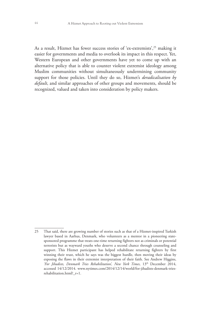As a result, Hizmet has fewer success stories of 'ex-extremists',<sup>25</sup> making it easier for governments and media to overlook its impact in this respect. Yet, Western European and other governments have yet to come up with an alternative policy that is able to counter violent extremist ideology among Muslim communities without simultaneously undermining community support for those policies. Until they do so, Hizmet's *deradicalisation by default*, and similar approaches of other groups and movements, should be recognized, valued and taken into consideration by policy makers.

<sup>25</sup> That said, there are growing number of stories such as that of a Hizmet-inspired Turkish lawyer based in Aarhus, Denmark, who volunteers as a mentor in a pioneering statesponsored programme that treats one-time returning fighters not as criminals or potential terrorists but as wayward youths who deserve a second chance through counseling and support. This Hizmet participant has helped rehabilitate returning fighters by first winning their trust, which he says was the biggest hurdle, then moving their ideas by exposing the flaws in their extremist interpretation of their faith. See Andrew Higgins, *'For Jihadists, Denmark Tries Rehabilitation', New York Times*, 13th December 2014, accessed 14/12/2014. www.nytimes.com/2014/12/14/world/for-jihadists-denmark-triesrehabilitation.html?\_r=1.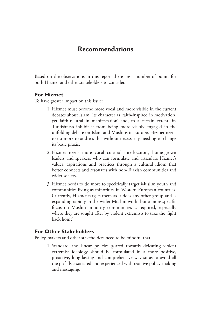#### **Recommendations**

Based on the observations in this report there are a number of points for both Hizmet and other stakeholders to consider.

#### **For Hizmet**

To have greater impact on this issue:

- 1. Hizmet must become more vocal and more visible in the current debates about Islam. Its character as 'faith-inspired in motivation, yet faith-neutral in manifestation' and, to a certain extent, its Turkishness inhibit it from being more visibly engaged in the unfolding debate on Islam and Muslims in Europe. Hizmet needs to do more to address this without necessarily needing to change its basic praxis.
- 2. Hizmet needs more vocal cultural interlocutors, home-grown leaders and speakers who can formulate and articulate Hizmet's values, aspirations and practices through a cultural idiom that better connects and resonates with non-Turkish communities and wider society.
- 3. Hizmet needs to do more to specifically target Muslim youth and communities living as minorities in Western European countries. Currently, Hizmet targets them as it does any other group and is expanding rapidly in the wider Muslim world but a more specific focus on Muslim minority communities is required, especially where they are sought after by violent extremists to take the 'fight back home'.

#### **For Other Stakeholders**

Policy-makers and other stakeholders need to be mindful that:

1. Standard and linear policies geared towards defeating violent extremist ideology should be formulated in a more positive, proactive, long-lasting and comprehensive way so as to avoid all the pitfalls associated and experienced with reactive policy-making and messaging.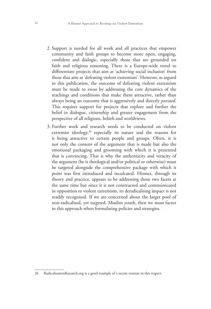- 2. Support is needed for all work and all practices that empower community and faith groups to become more open, engaging, confident and dialogic, especially those that are grounded on faith and religious reasoning. There is a Europe-wide trend to differentiate projects that aim at 'achieving social inclusion' from those that aim at 'defeating violent extremism'. However, as argued in this publication, the outcome of defeating violent extremism must be made to *ensue* by addressing the core dynamics of the teachings and conditions that make them attractive, rather than always being an outcome that is aggressively and directly *pursued*. This requires support for projects that explore and further the belief in dialogue, citizenship and greater engagement from the perspective of all religions, beliefs and worldviews.
- 3. Further work and research needs to be conducted on violent extremist ideology,<sup>26</sup> especially its nature and the reasons for it being attractive to certain people and groups. Often, it is not only the content of the argument that is made but also the emotional packaging and grooming with which it is presented that is convincing. That is why the authenticity and veracity of the argument (be it theological and/or political or otherwise) must be targeted alongside the comprehensive package with which it point was first introduced and inculcated. Hizmet, through its theory and practice, appears to be addressing those two facets at the same time but since it is not constructed and communicated in opposition to violent extremism, its deradicalising impact is not readily recognised. If we are concerned about the larger pool of non-radicalised, yet targeted, Muslim youth, then we must factor in this approach when formulating policies and strategies.

<sup>26</sup> RadicalisationResearch.org is a good example of a recent venture in this respect.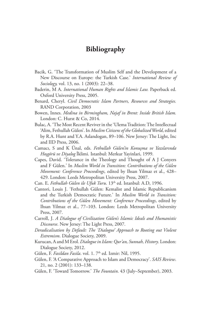### **Bibliography**

- Bacik, G. 'The Transformation of Muslim Self and the Development of a New Discourse on Europe: the Turkish Case.' *International Review of Sociology,* vol. 13, no. 1 (2003): 22–38.
- Baderin, M A. *International Human Rights and Islamic Law.* Paperback ed. Oxford University Press, 2005.
- Benard, Cheryl. *Civil Democratic Islam Partners, Resources and Strategies.*  RAND Corporation, 2003
- Bowen, Innes. *Medina in Birmingham, Najaf in Brent: Inside British Islam.* London: C. Hurst & Co, 2014.
- Bulac, A. 'The Most Recent Reviver in the 'Ulema Tradition: The Intellectual 'Alim, Fethullah Gülen'. In *Muslim Citizens of the Globalized World*, edited by R.A. Hunt and Y.A. Aslandogan, 89–106. New Jersey: The Light, Inc and IID Press, 2006.
- Camacı, S and K Ünal, eds. *Fethullah Gülen'in Konuşma ve Yazılarında Hoşgörü ve Diyalog* İklimi. Istanbul: Merkur Yayinlari, 1999.
- Capes, David. 'Tolerance in the Theology and Thought of A J Conyers and F Gülen.' In *Muslim World in Transition: Contributions of the Gülen Movement: Conference Proceedings*, edited by Ihsan Yilmaz et al., 428– 429. London: Leeds Metropolitan University Press, 2007.
- Can. E. Fethullah Gülen ile Ufuk Turu. 13th ed. Istanbul: A.D, 1996.
- Cantori, Louis J. 'Fethullah Gülen: Kemalist and Islamic Republicanism and the Turkish Democratic Future.' In *Muslim World in Transition: Contributions of the Gülen Movement: Conference Proceedings*, edited by Ihsan Yilmaz et al., 77–103. London: Leeds Metropolitan University Press, 2007.
- Carroll, J. *A Dialogue of Civilization Gülen's Islamic Ideals and Humanistic Discourse*. New Jersey: The Light Press, 2007.
- *Deradicalisation by Default: The 'Dialogue' Approach to Rooting out Violent Extremism*. Dialogue Society, 2009.
- Kurucan, A and M Erol. *Dialogue in Islam: Qur'an, Sunnah, History*. London: Dialogue Society, 2012.
- Gülen, F. *Fasildan Fasila*. vol. 1. 7<sup>th</sup> ed. Izmir: Nil, 1995.
- Gülen, F. 'A Comparative Approach to Islam and Democracy'. *SAIS Review*. 21, no. 2 (2001): 133–138.
- Gülen, F. 'Toward Tomorrow.' *The Fountain*. 43 (July–September), 2003.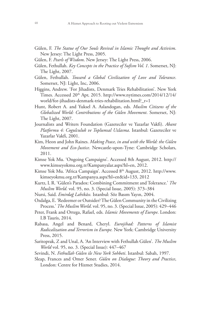- Gülen, F. *The Statue of Our Souls Revival in Islamic Thought and Activism*. New Jersey: The Light Press, 2005.
- Gülen, F. *Pearls of Wisdom*. New Jersey: The Light Press, 2006.
- Gülen, Fethullah. *Key Concepts in the Practice of Sufism Vol. 1*. Somerset, NJ: The Light, 2007.
- Gülen, Fethullah. *Toward a Global Civilization of Love and Tolerance*. Somerset, NJ: Light, Inc, 2006.
- Higgins, Andrew. 'For Jihadists, Denmark Tries Rehabilitation'. New York Times. Accessed 20th Apr, 2015. http://www.nytimes.com/2014/12/14/ world/for-jihadists-denmark-tries-rehabilitation.html?\_r=1
- Hunt, Robert A. and Yuksel A. Aslandogan, eds. *Muslim Citizens of the Globalized World: Contributions of the Gülen Movement*. Somerset, NJ: The Light, 2007.
- Journalists and Writers Foundation (Gazeteciler ve Yazarlar Vakfi). *Abant Platformu 4: Cogulculuk ve Toplumsal Uzlasma*. Istanbul: Gazeteciler ve Yazarlar Vakfi, 2001.
- Kim, Heon and John Raines. *Making Peace, in and with the World: the Gülen Movement and Eco-Justice*. Newcastle-upon-Tyne: Cambridge Scholars, 2011.
- Kimse Yok Mu. 'Ongoing Campaigns'. Accessed 8th August, 2012. http:// www.kimseyokmu.org.tr/Kampanyalar.aspx?hl=en, 2012.
- Kimse Yok Mu. 'Africa Campaign'. Accessed 8<sup>th</sup> August, 2012. http://www. kimseyokmu.org.tr/Kampanya.aspx?hl=en&id=133, 2012
- Kurtz, L R. 'Gülen's Paradox: Combining Commitment and Tolerance.' *The Muslim World*. vol. 95, no. 3. (Special Issue, 2005): 373–384
- Nursi, Said. *Emirdağ Lahikâsı.* Istanbul: Söz Basım Yayın, 2004.
- Ozdalga, E. 'Redeemer or Outsider? The Gülen Community in the Civilizing Process.' *The Muslim World*. vol. 95, no. 3. (Special Issue, 2005): 429–446
- Peter, Frank and Ortega, Rafael, eds. *Islamic Movements of Europe*. London: I.B Tauris, 2014.
- Rabasa, Angel and Benard, Cheryl. *Eurojihad: Patterns of Islamist Radicalization and Terrorism in Europe.* New York: Cambridge University Press, 2015.
- Saritoprak, Z and Unal, A. 'An Interview with Fethullah Gülen'. *The Muslim World* vol. 95, no. 3. (Special Issue): 447–467
- Sevindi, N. *Fethullah Gülen ile New York Sohbeti*. Istanbul: Sabah, 1997.
- Sleap, Frances and Omer Sener. *Gülen on Dialogue: Theory and Practice*, London: Centre for Hizmet Studies, 2014.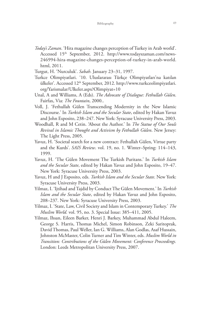- *Today's Zaman*. 'Hira magazine changes perception of Turkey in Arab world'. Accessed 15<sup>th</sup> September, 2012. http://www.todayszaman.com/news-246994-hira-magazine-changes-perception-of-turkey-in-arab-world. html, 2011.
- Turgut, H. 'Nurculuk'. *Sabah*. January 23–31, 1997.
- Turkce Olimpiyatlari. '10. Uluslararası Türkçe Olimpiyatları'na katılan ülkeler'. Accessed 12<sup>th</sup> September, 2012. http://www.turkceolimpiyatlari. org/Yarismalar/Ulkeler.aspx?Olimpiyat=10
- Unal, A and Williams, A (Eds). *The Advocate of Dialogue: Fethullah Gülen*. Fairfax, Via: *The Fountain*, 2000..
- Voll, J. 'Fethullah Gülen Transcending Modernity in the New Islamic Discourse.' In *Turkish Islam and the Secular State*, edited by Hakan Yavuz and John Esposito, 238–247. New York: Syracuse University Press, 2003.
- Woodhall, R and M Cetin. 'About the Author.' In *The Statue of Our Souls Revival in Islamic Thought and Activism by Fethullah Gülen*. New Jersey: The Light Press, 2005.
- Yavuz, H. 'Societal search for a new contract: Fethullah Gülen, Virtue party and the Kurds'. *SAIS Review*. vol. 19, no. 1. Winter–Spring: 114–143, 1999.
- Yavuz, H. 'The Gülen Movement The Turkish Puritans.' In *Turkish Islam and the Secular State*, edited by Hakan Yavuz and John Esposito, 19–47. New York: Syracuse University Press, 2003.
- Yavuz, H and J Esposito, eds. *Turkish Islam and the Secular State*. New York: Syracuse University Press, 2003.
- Yilmaz, I. 'Ijtihad and Tajdid by Conduct The Gülen Movement.' In *Turkish Islam and the Secular State*, edited by Hakan Yavuz and John Esposito, 208–237. New York: Syracuse University Press, 2003.
- Yilmaz, I. 'State, Law, Civil Society and Islam in Contemporary Turkey.' *The Muslim World.* vol. 95, no. 3. Special Issue: 385–411, 2005.
- Yilmaz, Ihsan, Eileen Barker, Henri J. Barkey, Muhammad Abdul Haleem, George S. Harris, Thomas Michel, Simon Robinson, Zeki Saritoprak, David Thomas, Paul Weller, Ian G. Williams, Alan Godlas, Asaf Hussain, Johnston McMaster, Colin Turner and Tim Winter, eds. *Muslim World in Transition: Contributions of the Gülen Movement: Conference Proceedings.*  London: Leeds Metropolitan University Press, 2007.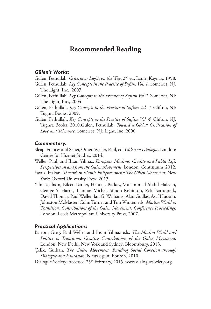#### **Recommended Reading**

#### *Gülen's Works:*

Gülen, Fethullah. *Criteria or Lights on the Way*, 2nd ed. Izmir: Kaynak, 1998.

- Gülen, Fethullah. *Key Concepts in the Practice of Sufism Vol. 1.* Somerset, NJ: The Light, Inc., 2007.
- Gülen, Fethullah. *Key Concepts in the Practice of Sufism Vol 2.* Somerset, NJ: The Light, Inc., 2004.
- Gülen, Fethullah. *Key Concepts in the Practice of Sufism Vol. 3.* Clifton, NJ: Tughra Books, 2009.
- Gülen, Fethullah. *Key Concepts in the Practice of Sufism Vol. 4.* Clifton, NJ: Tughra Books, 2010.Gülen, Fethullah. *Toward a Global Civilization of Love and Tolerance*. Somerset, NJ: Light, Inc, 2006.

#### *Commentary:*

- Sleap, Frances and Sener, Omer. Weller, Paul, ed. *Gülen on Dialogue*. London: Centre for Hizmet Studies, 2014.
- Weller, Paul, and Ihsan Yılmaz. *European Muslims, Civility and Public Life: Perspectives on and from the Gülen Movement*. London: Continuum, 2012.
- Yavuz, Hakan. *Toward an Islamic Enlightenment: The Gülen Movement.* New York: Oxford University Press, 2013.
- Yilmaz, Ihsan, Eileen Barker, Henri J. Barkey, Muhammad Abdul Haleem, George S. Harris, Thomas Michel, Simon Robinson, Zeki Saritoprak, David Thomas, Paul Weller, Ian G. Williams, Alan Godlas, Asaf Hussain, Johnston McMaster, Colin Turner and Tim Winter, eds. *Muslim World in Transition: Contributions of the Gülen Movement: Conference Proceedings.*  London: Leeds Metropolitan University Press, 2007.

#### *Practical Applications:*

- Barton, Greg, Paul Weller and Ihsan Yilmaz eds. *The Muslim World and Politics in Transition: Creative Contributions of the Gülen Movement*. London, New Delhi, New York and Sydney: Bloomsbury, 2013.
- Çelik, Gurkan. *The Gülen Movement: Building Social Cohesion through Dialogue and Education*. Nieuwegein: Eburon, 2010.
- Dialogue Society. Accessed 25<sup>th</sup> February, 2015. www.dialoguesociety.org.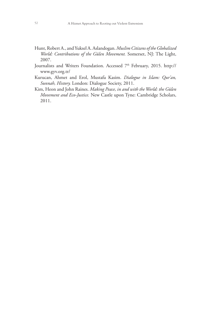- Hunt, Robert A., and Yuksel A. Aslandogan. *Muslim Citizens of the Globalized World: Contributions of the Gülen Movement.* Somerset, NJ: The Light, 2007.
- Journalists and Writers Foundation. Accessed 7<sup>th</sup> February, 2015. http:// www.gyv.org.tr/
- Kurucan, Ahmet and Erol, Mustafa Kasim. *Dialogue in Islam: Qur'an, Sunnah, History.* London: Dialogue Society, 2011.
- Kim, Heon and John Raines. *Making Peace, in and with the World: the Gülen Movement and Eco-Justice.* New Castle upon Tyne: Cambridge Scholars, 2011.